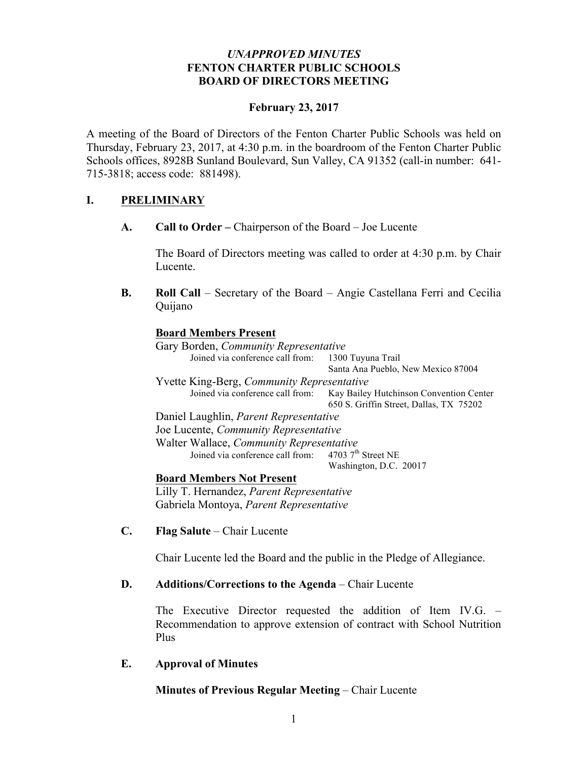## *UNAPPROVED MINUTES* **FENTON CHARTER PUBLIC SCHOOLS BOARD OF DIRECTORS MEETING**

## **February 23, 2017**

A meeting of the Board of Directors of the Fenton Charter Public Schools was held on Thursday, February 23, 2017, at 4:30 p.m. in the boardroom of the Fenton Charter Public Schools offices, 8928B Sunland Boulevard, Sun Valley, CA 91352 (call-in number: 641- 715-3818; access code: 881498).

# **I. PRELIMINARY**

**A. Call to Order –** Chairperson of the Board – Joe Lucente

The Board of Directors meeting was called to order at 4:30 p.m. by Chair Lucente.

**B. Roll Call** – Secretary of the Board – Angie Castellana Ferri and Cecilia Quijano

## **Board Members Present**

Gary Borden, *Community Representative* Joined via conference call from: 1300 Tuyuna Trail Santa Ana Pueblo, New Mexico 87004 Yvette King-Berg, *Community Representative* Joined via conference call from: Kay Bailey Hutchinson Convention Center 650 S. Griffin Street, Dallas, TX 75202 Daniel Laughlin, *Parent Representative* Joe Lucente, *Community Representative* Walter Wallace, *Community Representative*<br>Joined via conference call from: 4703 7<sup>th</sup> Street NE Joined via conference call from: Washington, D.C. 20017 **Board Members Not Present**

Lilly T. Hernandez, *Parent Representative* Gabriela Montoya, *Parent Representative*

**C. Flag Salute** – Chair Lucente

Chair Lucente led the Board and the public in the Pledge of Allegiance.

## **D. Additions/Corrections to the Agenda** – Chair Lucente

The Executive Director requested the addition of Item IV.G. – Recommendation to approve extension of contract with School Nutrition Plus

## **E. Approval of Minutes**

**Minutes of Previous Regular Meeting** – Chair Lucente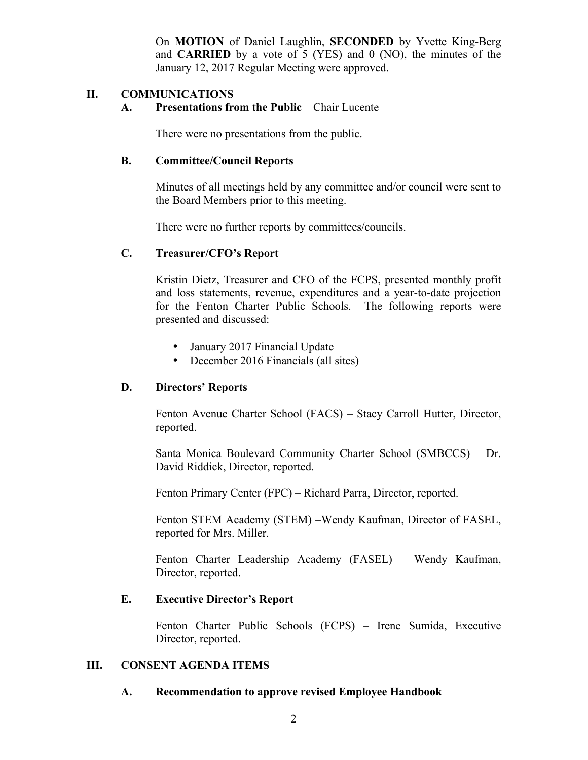On **MOTION** of Daniel Laughlin, **SECONDED** by Yvette King-Berg and **CARRIED** by a vote of 5 (YES) and 0 (NO), the minutes of the January 12, 2017 Regular Meeting were approved.

## **II. COMMUNICATIONS**

## **A. Presentations from the Public** – Chair Lucente

There were no presentations from the public.

## **B. Committee/Council Reports**

Minutes of all meetings held by any committee and/or council were sent to the Board Members prior to this meeting.

There were no further reports by committees/councils.

## **C. Treasurer/CFO's Report**

Kristin Dietz, Treasurer and CFO of the FCPS, presented monthly profit and loss statements, revenue, expenditures and a year-to-date projection for the Fenton Charter Public Schools. The following reports were presented and discussed:

- January 2017 Financial Update
- December 2016 Financials (all sites)

## **D. Directors' Reports**

Fenton Avenue Charter School (FACS) – Stacy Carroll Hutter, Director, reported.

Santa Monica Boulevard Community Charter School (SMBCCS) – Dr. David Riddick, Director, reported.

Fenton Primary Center (FPC) – Richard Parra, Director, reported.

Fenton STEM Academy (STEM) –Wendy Kaufman, Director of FASEL, reported for Mrs. Miller.

Fenton Charter Leadership Academy (FASEL) – Wendy Kaufman, Director, reported.

## **E. Executive Director's Report**

Fenton Charter Public Schools (FCPS) – Irene Sumida, Executive Director, reported.

## **III. CONSENT AGENDA ITEMS**

#### **A. Recommendation to approve revised Employee Handbook**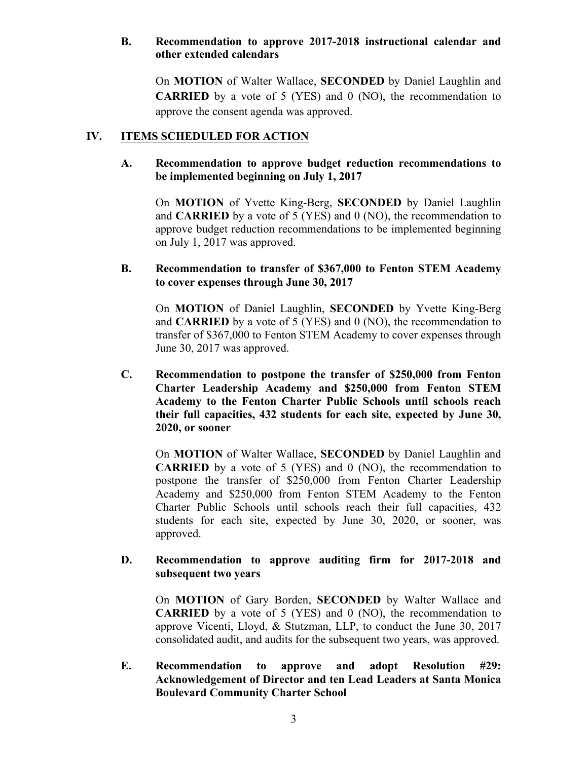## **B. Recommendation to approve 2017-2018 instructional calendar and other extended calendars**

On **MOTION** of Walter Wallace, **SECONDED** by Daniel Laughlin and **CARRIED** by a vote of 5 (YES) and 0 (NO), the recommendation to approve the consent agenda was approved.

# **IV. ITEMS SCHEDULED FOR ACTION**

## **A. Recommendation to approve budget reduction recommendations to be implemented beginning on July 1, 2017**

On **MOTION** of Yvette King-Berg, **SECONDED** by Daniel Laughlin and **CARRIED** by a vote of 5 (YES) and 0 (NO), the recommendation to approve budget reduction recommendations to be implemented beginning on July 1, 2017 was approved.

## **B. Recommendation to transfer of \$367,000 to Fenton STEM Academy to cover expenses through June 30, 2017**

On **MOTION** of Daniel Laughlin, **SECONDED** by Yvette King-Berg and **CARRIED** by a vote of 5 (YES) and 0 (NO), the recommendation to transfer of \$367,000 to Fenton STEM Academy to cover expenses through June 30, 2017 was approved.

**C. Recommendation to postpone the transfer of \$250,000 from Fenton Charter Leadership Academy and \$250,000 from Fenton STEM Academy to the Fenton Charter Public Schools until schools reach their full capacities, 432 students for each site, expected by June 30, 2020, or sooner**

On **MOTION** of Walter Wallace, **SECONDED** by Daniel Laughlin and **CARRIED** by a vote of 5 (YES) and 0 (NO), the recommendation to postpone the transfer of \$250,000 from Fenton Charter Leadership Academy and \$250,000 from Fenton STEM Academy to the Fenton Charter Public Schools until schools reach their full capacities, 432 students for each site, expected by June 30, 2020, or sooner, was approved.

## **D. Recommendation to approve auditing firm for 2017-2018 and subsequent two years**

On **MOTION** of Gary Borden, **SECONDED** by Walter Wallace and **CARRIED** by a vote of 5 (YES) and 0 (NO), the recommendation to approve Vicenti, Lloyd, & Stutzman, LLP, to conduct the June 30, 2017 consolidated audit, and audits for the subsequent two years, was approved.

**E. Recommendation to approve and adopt Resolution #29: Acknowledgement of Director and ten Lead Leaders at Santa Monica Boulevard Community Charter School**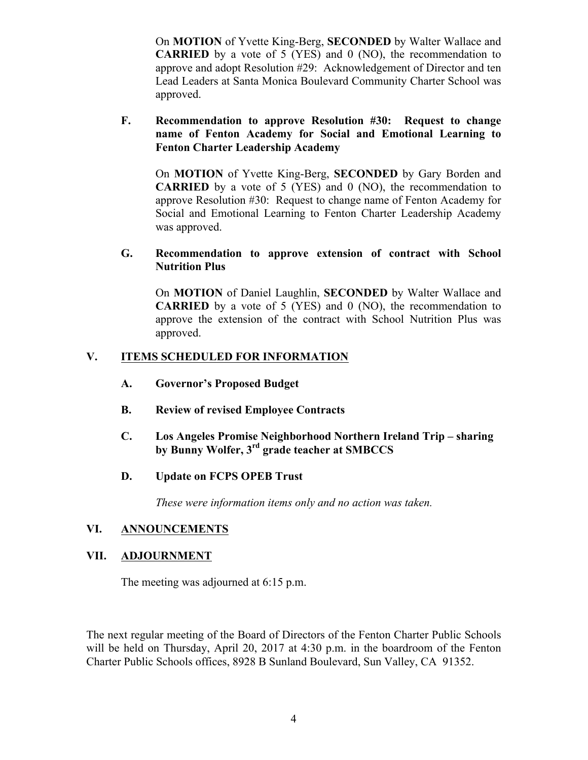On **MOTION** of Yvette King-Berg, **SECONDED** by Walter Wallace and **CARRIED** by a vote of 5 (YES) and 0 (NO), the recommendation to approve and adopt Resolution #29: Acknowledgement of Director and ten Lead Leaders at Santa Monica Boulevard Community Charter School was approved.

## **F. Recommendation to approve Resolution #30: Request to change name of Fenton Academy for Social and Emotional Learning to Fenton Charter Leadership Academy**

On **MOTION** of Yvette King-Berg, **SECONDED** by Gary Borden and **CARRIED** by a vote of 5 (YES) and 0 (NO), the recommendation to approve Resolution #30: Request to change name of Fenton Academy for Social and Emotional Learning to Fenton Charter Leadership Academy was approved.

## **G. Recommendation to approve extension of contract with School Nutrition Plus**

On **MOTION** of Daniel Laughlin, **SECONDED** by Walter Wallace and **CARRIED** by a vote of 5 (YES) and 0 (NO), the recommendation to approve the extension of the contract with School Nutrition Plus was approved.

# **V. ITEMS SCHEDULED FOR INFORMATION**

- **A. Governor's Proposed Budget**
- **B. Review of revised Employee Contracts**
- **C. Los Angeles Promise Neighborhood Northern Ireland Trip – sharing by Bunny Wolfer, 3rd grade teacher at SMBCCS**
- **D. Update on FCPS OPEB Trust**

*These were information items only and no action was taken.*

## **VI. ANNOUNCEMENTS**

## **VII. ADJOURNMENT**

The meeting was adjourned at 6:15 p.m.

The next regular meeting of the Board of Directors of the Fenton Charter Public Schools will be held on Thursday, April 20, 2017 at 4:30 p.m. in the boardroom of the Fenton Charter Public Schools offices, 8928 B Sunland Boulevard, Sun Valley, CA 91352.